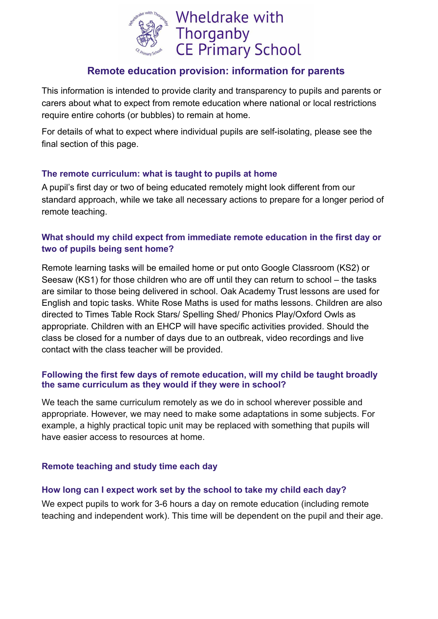

# **Remote education provision: information for parents**

This information is intended to provide clarity and transparency to pupils and parents or carers about what to expect from remote education where national or local restrictions require entire cohorts (or bubbles) to remain at home.

For details of what to expect where individual pupils are self-isolating, please see the final section of this page.

## **The remote curriculum: what is taught to pupils at home**

A pupil's first day or two of being educated remotely might look different from our standard approach, while we take all necessary actions to prepare for a longer period of remote teaching.

## **What should my child expect from immediate remote education in the first day or two of pupils being sent home?**

Remote learning tasks will be emailed home or put onto Google Classroom (KS2) or Seesaw (KS1) for those children who are off until they can return to school – the tasks are similar to those being delivered in school. Oak Academy Trust lessons are used for English and topic tasks. White Rose Maths is used for maths lessons. Children are also directed to Times Table Rock Stars/ Spelling Shed/ Phonics Play/Oxford Owls as appropriate. Children with an EHCP will have specific activities provided. Should the class be closed for a number of days due to an outbreak, video recordings and live contact with the class teacher will be provided.

## **Following the first few days of remote education, will my child be taught broadly the same curriculum as they would if they were in school?**

We teach the same curriculum remotely as we do in school wherever possible and appropriate. However, we may need to make some adaptations in some subjects. For example, a highly practical topic unit may be replaced with something that pupils will have easier access to resources at home.

## **Remote teaching and study time each day**

### **How long can I expect work set by the school to take my child each day?**

We expect pupils to work for 3-6 hours a day on remote education (including remote teaching and independent work). This time will be dependent on the pupil and their age.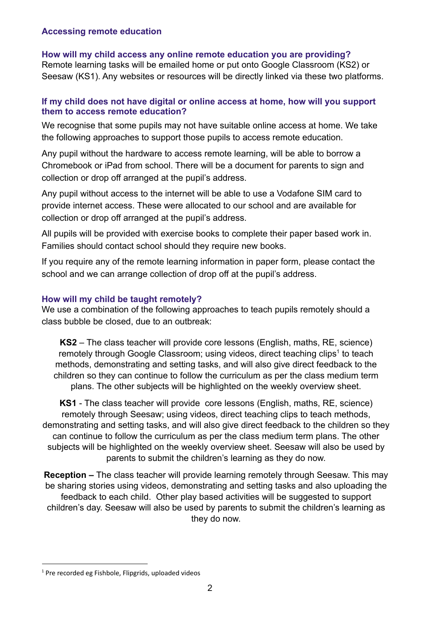### **Accessing remote education**

## **How will my child access any online remote education you are providing?**

Remote learning tasks will be emailed home or put onto Google Classroom (KS2) or Seesaw (KS1). Any websites or resources will be directly linked via these two platforms.

## **If my child does not have digital or online access at home, how will you support them to access remote education?**

We recognise that some pupils may not have suitable online access at home. We take the following approaches to support those pupils to access remote education.

Any pupil without the hardware to access remote learning, will be able to borrow a Chromebook or iPad from school. There will be a document for parents to sign and collection or drop off arranged at the pupil's address.

Any pupil without access to the internet will be able to use a Vodafone SIM card to provide internet access. These were allocated to our school and are available for collection or drop off arranged at the pupil's address.

All pupils will be provided with exercise books to complete their paper based work in. Families should contact school should they require new books.

If you require any of the remote learning information in paper form, please contact the school and we can arrange collection of drop off at the pupil's address.

## **How will my child be taught remotely?**

We use a combination of the following approaches to teach pupils remotely should a class bubble be closed, due to an outbreak:

**KS2** – The class teacher will provide core lessons (English, maths, RE, science) remotely through Google Classroom; using videos, direct teaching clips<sup>1</sup> to teach methods, demonstrating and setting tasks, and will also give direct feedback to the children so they can continue to follow the curriculum as per the class medium term plans. The other subjects will be highlighted on the weekly overview sheet.

**KS1** - The class teacher will provide core lessons (English, maths, RE, science) remotely through Seesaw; using videos, direct teaching clips to teach methods, demonstrating and setting tasks, and will also give direct feedback to the children so they can continue to follow the curriculum as per the class medium term plans. The other subjects will be highlighted on the weekly overview sheet. Seesaw will also be used by parents to submit the children's learning as they do now.

**Reception –** The class teacher will provide learning remotely through Seesaw. This may be sharing stories using videos, demonstrating and setting tasks and also uploading the feedback to each child. Other play based activities will be suggested to support children's day. Seesaw will also be used by parents to submit the children's learning as they do now.

 $1$  Pre recorded eg Fishbole, Flipgrids, uploaded videos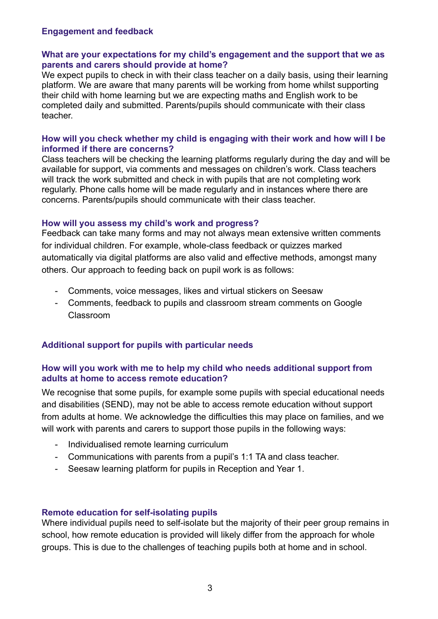#### **Engagement and feedback**

### **What are your expectations for my child's engagement and the support that we as parents and carers should provide at home?**

We expect pupils to check in with their class teacher on a daily basis, using their learning platform. We are aware that many parents will be working from home whilst supporting their child with home learning but we are expecting maths and English work to be completed daily and submitted. Parents/pupils should communicate with their class teacher.

#### **How will you check whether my child is engaging with their work and how will I be informed if there are concerns?**

Class teachers will be checking the learning platforms regularly during the day and will be available for support, via comments and messages on children's work. Class teachers will track the work submitted and check in with pupils that are not completing work regularly. Phone calls home will be made regularly and in instances where there are concerns. Parents/pupils should communicate with their class teacher.

#### **How will you assess my child's work and progress?**

Feedback can take many forms and may not always mean extensive written comments for individual children. For example, whole-class feedback or quizzes marked automatically via digital platforms are also valid and effective methods, amongst many others. Our approach to feeding back on pupil work is as follows:

- Comments, voice messages, likes and virtual stickers on Seesaw
- Comments, feedback to pupils and classroom stream comments on Google Classroom

## **Additional support for pupils with particular needs**

### **How will you work with me to help my child who needs additional support from adults at home to access remote education?**

We recognise that some pupils, for example some pupils with special educational needs and disabilities (SEND), may not be able to access remote education without support from adults at home. We acknowledge the difficulties this may place on families, and we will work with parents and carers to support those pupils in the following ways:

- Individualised remote learning curriculum
- Communications with parents from a pupil's 1:1 TA and class teacher.
- Seesaw learning platform for pupils in Reception and Year 1.

### **Remote education for self-isolating pupils**

Where individual pupils need to self-isolate but the majority of their peer group remains in school, how remote education is provided will likely differ from the approach for whole groups. This is due to the challenges of teaching pupils both at home and in school.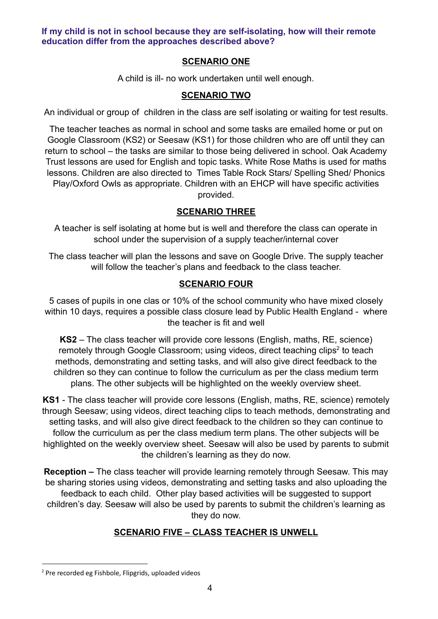**If my child is not in school because they are self-isolating, how will their remote education differ from the approaches described above?**

## **SCENARIO ONE**

A child is ill- no work undertaken until well enough.

## **SCENARIO TWO**

An individual or group of children in the class are self isolating or waiting for test results.

The teacher teaches as normal in school and some tasks are emailed home or put on Google Classroom (KS2) or Seesaw (KS1) for those children who are off until they can return to school – the tasks are similar to those being delivered in school. Oak Academy Trust lessons are used for English and topic tasks. White Rose Maths is used for maths lessons. Children are also directed to Times Table Rock Stars/ Spelling Shed/ Phonics Play/Oxford Owls as appropriate. Children with an EHCP will have specific activities provided.

## **SCENARIO THREE**

A teacher is self isolating at home but is well and therefore the class can operate in school under the supervision of a supply teacher/internal cover

The class teacher will plan the lessons and save on Google Drive. The supply teacher will follow the teacher's plans and feedback to the class teacher.

## **SCENARIO FOUR**

5 cases of pupils in one clas or 10% of the school community who have mixed closely within 10 days, requires a possible class closure lead by Public Health England - where the teacher is fit and well

**KS2** – The class teacher will provide core lessons (English, maths, RE, science) remotely through Google Classroom; using videos, direct teaching clips<sup>2</sup> to teach methods, demonstrating and setting tasks, and will also give direct feedback to the children so they can continue to follow the curriculum as per the class medium term plans. The other subjects will be highlighted on the weekly overview sheet.

**KS1** - The class teacher will provide core lessons (English, maths, RE, science) remotely through Seesaw; using videos, direct teaching clips to teach methods, demonstrating and setting tasks, and will also give direct feedback to the children so they can continue to follow the curriculum as per the class medium term plans. The other subjects will be highlighted on the weekly overview sheet. Seesaw will also be used by parents to submit the children's learning as they do now.

**Reception –** The class teacher will provide learning remotely through Seesaw. This may be sharing stories using videos, demonstrating and setting tasks and also uploading the feedback to each child. Other play based activities will be suggested to support children's day. Seesaw will also be used by parents to submit the children's learning as they do now.

# **SCENARIO FIVE – CLASS TEACHER IS UNWELL**

<sup>2</sup> Pre recorded eg Fishbole, Flipgrids, uploaded videos